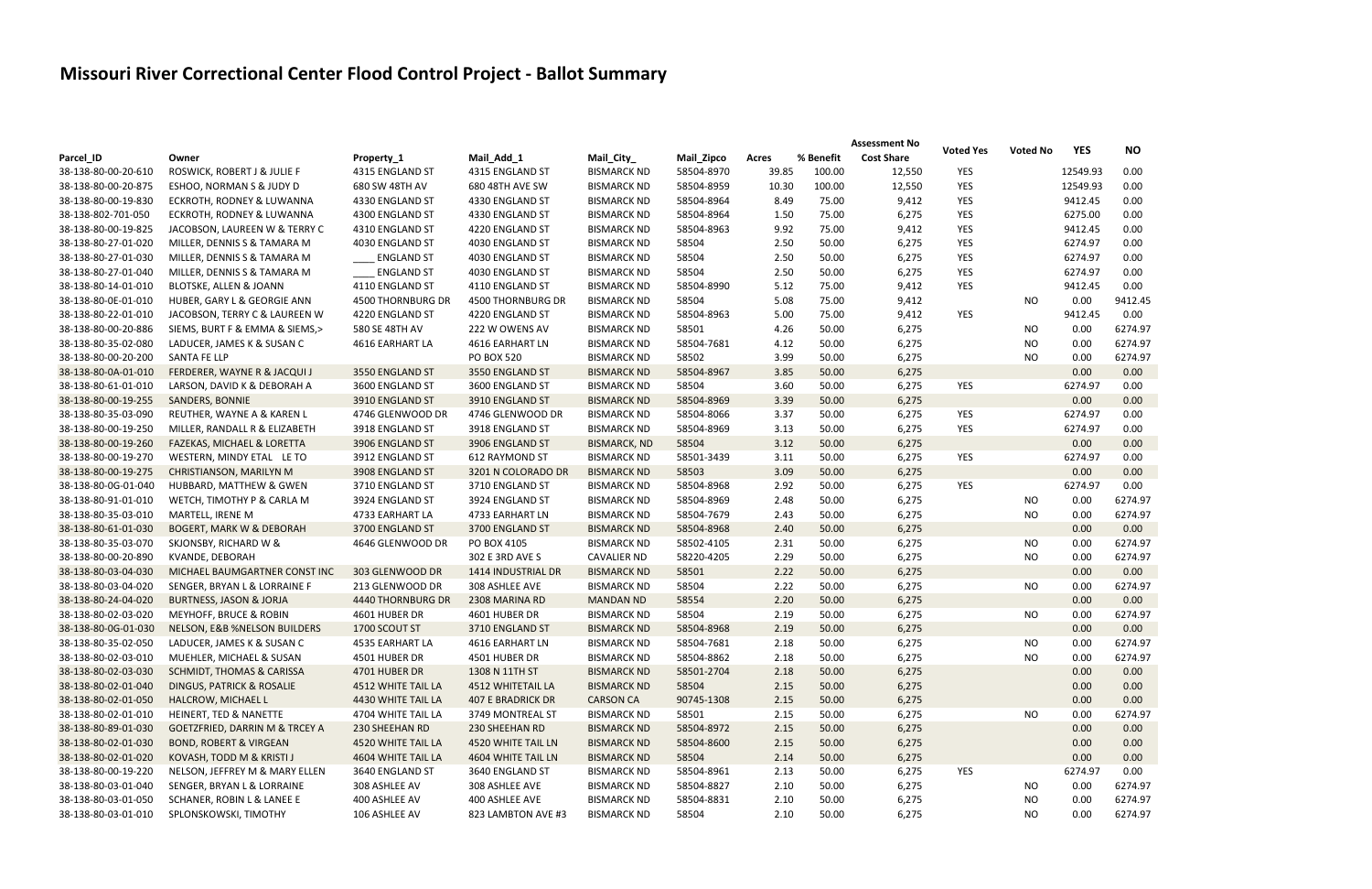## **Missouri River Correctional Center Flood Control Project - Ballot Summary**

|                     |                                       |                    |                          |                     |            |       |           | <b>Assessment No</b> |                  |                 |            |           |
|---------------------|---------------------------------------|--------------------|--------------------------|---------------------|------------|-------|-----------|----------------------|------------------|-----------------|------------|-----------|
| Parcel_ID           | Owner                                 | Property_1         | Mail_Add_1               | Mail_City_          | Mail_Zipco | Acres | % Benefit | <b>Cost Share</b>    | <b>Voted Yes</b> | <b>Voted No</b> | <b>YES</b> | <b>NO</b> |
| 38-138-80-00-20-610 | ROSWICK, ROBERT J & JULIE F           | 4315 ENGLAND ST    | 4315 ENGLAND ST          | <b>BISMARCK ND</b>  | 58504-8970 | 39.85 | 100.00    | 12,550               | YES              |                 | 12549.93   | 0.00      |
| 38-138-80-00-20-875 | ESHOO, NORMAN S & JUDY D              | 680 SW 48TH AV     | 680 48TH AVE SW          | <b>BISMARCK ND</b>  | 58504-8959 | 10.30 | 100.00    | 12,550               | YES              |                 | 12549.93   | 0.00      |
| 38-138-80-00-19-830 | ECKROTH, RODNEY & LUWANNA             | 4330 ENGLAND ST    | 4330 ENGLAND ST          | <b>BISMARCK ND</b>  | 58504-8964 | 8.49  | 75.00     | 9,412                | YES              |                 | 9412.45    | 0.00      |
| 38-138-802-701-050  | ECKROTH, RODNEY & LUWANNA             | 4300 ENGLAND ST    | 4330 ENGLAND ST          | <b>BISMARCK ND</b>  | 58504-8964 | 1.50  | 75.00     | 6,275                | YES              |                 | 6275.00    | 0.00      |
| 38-138-80-00-19-825 | JACOBSON, LAUREEN W & TERRY C         | 4310 ENGLAND ST    | 4220 ENGLAND ST          | <b>BISMARCK ND</b>  | 58504-8963 | 9.92  | 75.00     | 9,412                | YES              |                 | 9412.45    | 0.00      |
| 38-138-80-27-01-020 | MILLER, DENNIS S & TAMARA M           | 4030 ENGLAND ST    | 4030 ENGLAND ST          | <b>BISMARCK ND</b>  | 58504      | 2.50  | 50.00     | 6,275                | YES              |                 | 6274.97    | 0.00      |
| 38-138-80-27-01-030 | MILLER, DENNIS S & TAMARA M           | <b>ENGLAND ST</b>  | 4030 ENGLAND ST          | <b>BISMARCK ND</b>  | 58504      | 2.50  | 50.00     | 6,275                | YES              |                 | 6274.97    | 0.00      |
| 38-138-80-27-01-040 | MILLER, DENNIS S & TAMARA M           | <b>ENGLAND ST</b>  | 4030 ENGLAND ST          | <b>BISMARCK ND</b>  | 58504      | 2.50  | 50.00     | 6,275                | YES              |                 | 6274.97    | 0.00      |
| 38-138-80-14-01-010 | <b>BLOTSKE, ALLEN &amp; JOANN</b>     | 4110 ENGLAND ST    | 4110 ENGLAND ST          | <b>BISMARCK ND</b>  | 58504-8990 | 5.12  | 75.00     | 9,412                | YES              |                 | 9412.45    | 0.00      |
| 38-138-80-0E-01-010 | HUBER, GARY L & GEORGIE ANN           | 4500 THORNBURG DR  | <b>4500 THORNBURG DR</b> | <b>BISMARCK ND</b>  | 58504      | 5.08  | 75.00     | 9,412                |                  | NO.             | 0.00       | 9412.45   |
| 38-138-80-22-01-010 | JACOBSON, TERRY C & LAUREEN W         | 4220 ENGLAND ST    | 4220 ENGLAND ST          | <b>BISMARCK ND</b>  | 58504-8963 | 5.00  | 75.00     | 9,412                | YES              |                 | 9412.45    | 0.00      |
| 38-138-80-00-20-886 | SIEMS, BURT F & EMMA & SIEMS,>        | 580 SE 48TH AV     | 222 W OWENS AV           | <b>BISMARCK ND</b>  | 58501      | 4.26  | 50.00     | 6,275                |                  | <b>NO</b>       | 0.00       | 6274.97   |
| 38-138-80-35-02-080 | LADUCER, JAMES K & SUSAN C            | 4616 EARHART LA    | 4616 EARHART LN          | <b>BISMARCK ND</b>  | 58504-7681 | 4.12  | 50.00     | 6,275                |                  | <b>NO</b>       | 0.00       | 6274.97   |
| 38-138-80-00-20-200 | <b>SANTA FE LLP</b>                   |                    | <b>PO BOX 520</b>        | <b>BISMARCK ND</b>  | 58502      | 3.99  | 50.00     | 6,275                |                  | NO.             | 0.00       | 6274.97   |
| 38-138-80-0A-01-010 | FERDERER, WAYNE R & JACQUI J          | 3550 ENGLAND ST    | 3550 ENGLAND ST          | <b>BISMARCK ND</b>  | 58504-8967 | 3.85  | 50.00     | 6,275                |                  |                 | 0.00       | 0.00      |
| 38-138-80-61-01-010 | LARSON, DAVID K & DEBORAH A           | 3600 ENGLAND ST    | 3600 ENGLAND ST          | <b>BISMARCK ND</b>  | 58504      | 3.60  | 50.00     | 6,275                | <b>YES</b>       |                 | 6274.97    | 0.00      |
| 38-138-80-00-19-255 | <b>SANDERS, BONNIE</b>                | 3910 ENGLAND ST    | 3910 ENGLAND ST          | <b>BISMARCK ND</b>  | 58504-8969 | 3.39  | 50.00     | 6,275                |                  |                 | 0.00       | 0.00      |
| 38-138-80-35-03-090 | REUTHER, WAYNE A & KAREN L            | 4746 GLENWOOD DR   | 4746 GLENWOOD DR         | <b>BISMARCK ND</b>  | 58504-8066 | 3.37  | 50.00     | 6,275                | YES              |                 | 6274.97    | 0.00      |
| 38-138-80-00-19-250 | MILLER, RANDALL R & ELIZABETH         | 3918 ENGLAND ST    | 3918 ENGLAND ST          | <b>BISMARCK ND</b>  | 58504-8969 | 3.13  | 50.00     | 6,275                | <b>YES</b>       |                 | 6274.97    | 0.00      |
| 38-138-80-00-19-260 | <b>FAZEKAS, MICHAEL &amp; LORETTA</b> | 3906 ENGLAND ST    | 3906 ENGLAND ST          | <b>BISMARCK, ND</b> | 58504      | 3.12  | 50.00     | 6,275                |                  |                 | 0.00       | 0.00      |
| 38-138-80-00-19-270 | WESTERN, MINDY ETAL LE TO             | 3912 ENGLAND ST    | 612 RAYMOND ST           | <b>BISMARCK ND</b>  | 58501-3439 | 3.11  | 50.00     | 6,275                | <b>YES</b>       |                 | 6274.97    | 0.00      |
|                     |                                       | 3908 ENGLAND ST    |                          |                     | 58503      | 3.09  | 50.00     |                      |                  |                 | 0.00       | 0.00      |
| 38-138-80-00-19-275 | CHRISTIANSON, MARILYN M               |                    | 3201 N COLORADO DR       | <b>BISMARCK ND</b>  |            |       |           | 6,275                |                  |                 |            |           |
| 38-138-80-0G-01-040 | HUBBARD, MATTHEW & GWEN               | 3710 ENGLAND ST    | 3710 ENGLAND ST          | <b>BISMARCK ND</b>  | 58504-8968 | 2.92  | 50.00     | 6,275                | <b>YES</b>       |                 | 6274.97    | 0.00      |
| 38-138-80-91-01-010 | WETCH, TIMOTHY P & CARLA M            | 3924 ENGLAND ST    | 3924 ENGLAND ST          | <b>BISMARCK ND</b>  | 58504-8969 | 2.48  | 50.00     | 6,275                |                  | NO              | 0.00       | 6274.97   |
| 38-138-80-35-03-010 | MARTELL, IRENE M                      | 4733 EARHART LA    | 4733 EARHART LN          | <b>BISMARCK ND</b>  | 58504-7679 | 2.43  | 50.00     | 6,275                |                  | NO              | 0.00       | 6274.97   |
| 38-138-80-61-01-030 | <b>BOGERT, MARK W &amp; DEBORAH</b>   | 3700 ENGLAND ST    | 3700 ENGLAND ST          | <b>BISMARCK ND</b>  | 58504-8968 | 2.40  | 50.00     | 6,275                |                  |                 | 0.00       | 0.00      |
| 38-138-80-35-03-070 | SKJONSBY, RICHARD W &                 | 4646 GLENWOOD DR   | PO BOX 4105              | <b>BISMARCK ND</b>  | 58502-4105 | 2.31  | 50.00     | 6,275                |                  | NO              | 0.00       | 6274.97   |
| 38-138-80-00-20-890 | KVANDE, DEBORAH                       |                    | 302 E 3RD AVE S          | <b>CAVALIER ND</b>  | 58220-4205 | 2.29  | 50.00     | 6,275                |                  | NO.             | 0.00       | 6274.97   |
| 38-138-80-03-04-030 | MICHAEL BAUMGARTNER CONST INC         | 303 GLENWOOD DR    | 1414 INDUSTRIAL DR       | <b>BISMARCK ND</b>  | 58501      | 2.22  | 50.00     | 6,275                |                  |                 | 0.00       | 0.00      |
| 38-138-80-03-04-020 | SENGER, BRYAN L & LORRAINE F          | 213 GLENWOOD DR    | 308 ASHLEE AVE           | <b>BISMARCK ND</b>  | 58504      | 2.22  | 50.00     | 6,275                |                  | NO              | 0.00       | 6274.97   |
| 38-138-80-24-04-020 | <b>BURTNESS, JASON &amp; JORJA</b>    | 4440 THORNBURG DR  | 2308 MARINA RD           | <b>MANDAN ND</b>    | 58554      | 2.20  | 50.00     | 6,275                |                  |                 | 0.00       | 0.00      |
| 38-138-80-02-03-020 | MEYHOFF, BRUCE & ROBIN                | 4601 HUBER DR      | 4601 HUBER DR            | <b>BISMARCK ND</b>  | 58504      | 2.19  | 50.00     | 6,275                |                  | <b>NO</b>       | 0.00       | 6274.97   |
| 38-138-80-0G-01-030 | NELSON, E&B %NELSON BUILDERS          | 1700 SCOUT ST      | 3710 ENGLAND ST          | <b>BISMARCK ND</b>  | 58504-8968 | 2.19  | 50.00     | 6,275                |                  |                 | 0.00       | 0.00      |
| 38-138-80-35-02-050 | LADUCER, JAMES K & SUSAN C            | 4535 EARHART LA    | 4616 EARHART LN          | <b>BISMARCK ND</b>  | 58504-7681 | 2.18  | 50.00     | 6,275                |                  | <b>NO</b>       | 0.00       | 6274.97   |
| 38-138-80-02-03-010 | MUEHLER, MICHAEL & SUSAN              | 4501 HUBER DR      | 4501 HUBER DR            | <b>BISMARCK ND</b>  | 58504-8862 | 2.18  | 50.00     | 6,275                |                  | NO              | 0.00       | 6274.97   |
| 38-138-80-02-03-030 | SCHMIDT, THOMAS & CARISSA             | 4701 HUBER DR      | 1308 N 11TH ST           | <b>BISMARCK ND</b>  | 58501-2704 | 2.18  | 50.00     | 6,275                |                  |                 | 0.00       | 0.00      |
| 38-138-80-02-01-040 | <b>DINGUS, PATRICK &amp; ROSALIE</b>  | 4512 WHITE TAIL LA | 4512 WHITETAIL LA        | <b>BISMARCK ND</b>  | 58504      | 2.15  | 50.00     | 6,275                |                  |                 | 0.00       | 0.00      |
| 38-138-80-02-01-050 | HALCROW, MICHAEL L                    | 4430 WHITE TAIL LA | 407 E BRADRICK DR        | <b>CARSON CA</b>    | 90745-1308 | 2.15  | 50.00     | 6,275                |                  |                 | 0.00       | 0.00      |
| 38-138-80-02-01-010 | HEINERT, TED & NANETTE                | 4704 WHITE TAIL LA | 3749 MONTREAL ST         | <b>BISMARCK ND</b>  | 58501      | 2.15  | 50.00     | 6,275                |                  | <b>NO</b>       | 0.00       | 6274.97   |
| 38-138-80-89-01-030 | GOETZFRIED, DARRIN M & TRCEY A        | 230 SHEEHAN RD     | 230 SHEEHAN RD           | <b>BISMARCK ND</b>  | 58504-8972 | 2.15  | 50.00     | 6,275                |                  |                 | 0.00       | 0.00      |
| 38-138-80-02-01-030 | <b>BOND, ROBERT &amp; VIRGEAN</b>     | 4520 WHITE TAIL LA | 4520 WHITE TAIL LN       | <b>BISMARCK ND</b>  | 58504-8600 | 2.15  | 50.00     | 6,275                |                  |                 | 0.00       | 0.00      |
| 38-138-80-02-01-020 | KOVASH, TODD M & KRISTI J             | 4604 WHITE TAIL LA | 4604 WHITE TAIL LN       | <b>BISMARCK ND</b>  | 58504      | 2.14  | 50.00     | 6,275                |                  |                 | 0.00       | 0.00      |
| 38-138-80-00-19-220 | NELSON, JEFFREY M & MARY ELLEN        | 3640 ENGLAND ST    | 3640 ENGLAND ST          | <b>BISMARCK ND</b>  | 58504-8961 | 2.13  | 50.00     | 6,275                | YES              |                 | 6274.97    | 0.00      |
| 38-138-80-03-01-040 | SENGER, BRYAN L & LORRAINE            | 308 ASHLEE AV      | 308 ASHLEE AVE           | <b>BISMARCK ND</b>  | 58504-8827 | 2.10  | 50.00     | 6,275                |                  | NO              | 0.00       | 6274.97   |
| 38-138-80-03-01-050 | SCHANER, ROBIN L & LANEE E            | 400 ASHLEE AV      | 400 ASHLEE AVE           | <b>BISMARCK ND</b>  | 58504-8831 | 2.10  | 50.00     | 6,275                |                  | NO              | 0.00       | 6274.97   |
| 38-138-80-03-01-010 | SPLONSKOWSKI, TIMOTHY                 | 106 ASHLEE AV      | 823 LAMBTON AVE #3       | <b>BISMARCK ND</b>  | 58504      | 2.10  | 50.00     | 6,275                |                  | <b>NO</b>       | 0.00       | 6274.97   |

| Voted No  | <b>YES</b> | <b>NO</b>         |  |  |  |
|-----------|------------|-------------------|--|--|--|
|           | 12549.93   | 0.00              |  |  |  |
|           | 12549.93   | 0.00              |  |  |  |
|           | 9412.45    | 0.00              |  |  |  |
|           | 6275.00    | 0.00              |  |  |  |
|           | 9412.45    | 0.00              |  |  |  |
|           | 6274.97    | 0.00              |  |  |  |
|           | 6274.97    | 0.00              |  |  |  |
|           | 6274.97    | 0.00              |  |  |  |
|           | 9412.45    | 0.00              |  |  |  |
| <b>NO</b> | 0.00       | 9412.45           |  |  |  |
|           | 9412.45    | 0.00              |  |  |  |
| <b>NO</b> | 0.00       | 6274.97           |  |  |  |
| NO        | 0.00       | 6274.97           |  |  |  |
| NO        | 0.00       | 6274.97           |  |  |  |
|           | 0.00       | 0.00              |  |  |  |
|           | 6274.97    | 0.00              |  |  |  |
|           | 0.00       | 0.00              |  |  |  |
|           | 6274.97    | 0.00              |  |  |  |
|           | 6274.97    | 0.00              |  |  |  |
|           | 0.00       | 0.00              |  |  |  |
|           | 6274.97    | 0.00              |  |  |  |
|           | 0.00       | 0.00              |  |  |  |
|           | 6274.97    | 0.00              |  |  |  |
| <b>NO</b> | 0.00       | 6274.97           |  |  |  |
| <b>NO</b> | 0.00       | 6274.97           |  |  |  |
|           | 0.00       | 0.00              |  |  |  |
| <b>NO</b> | 0.00       | 6274.97           |  |  |  |
| <b>NO</b> | 0.00       | 6274.97           |  |  |  |
|           | 0.00       | 0.00              |  |  |  |
| <b>NO</b> | 0.00       | 6274.97           |  |  |  |
|           | 0.00       | 0.00 <sub>1</sub> |  |  |  |
| NΟ        | 0.00       | 6274.97           |  |  |  |
|           | 0.00       | 0.00              |  |  |  |
| ΝO        | 0.00       | 6274.97           |  |  |  |
| NΟ        | 0.00       | 6274.97           |  |  |  |
|           | 0.00       | 0.00              |  |  |  |
|           | 0.00       | 0.00              |  |  |  |
|           | 0.00       | 0.00              |  |  |  |
| NΟ        | 0.00       | 6274.97           |  |  |  |
|           | 0.00       | 0.00              |  |  |  |
|           | 0.00       | 0.00              |  |  |  |
|           | 0.00       | 0.00              |  |  |  |
|           | 6274.97    | 0.00              |  |  |  |
| ΝO        | 0.00       | 6274.97           |  |  |  |
| ΝO        | 0.00       | 6274.97           |  |  |  |
| NΟ        | 0.00       | 6274.97           |  |  |  |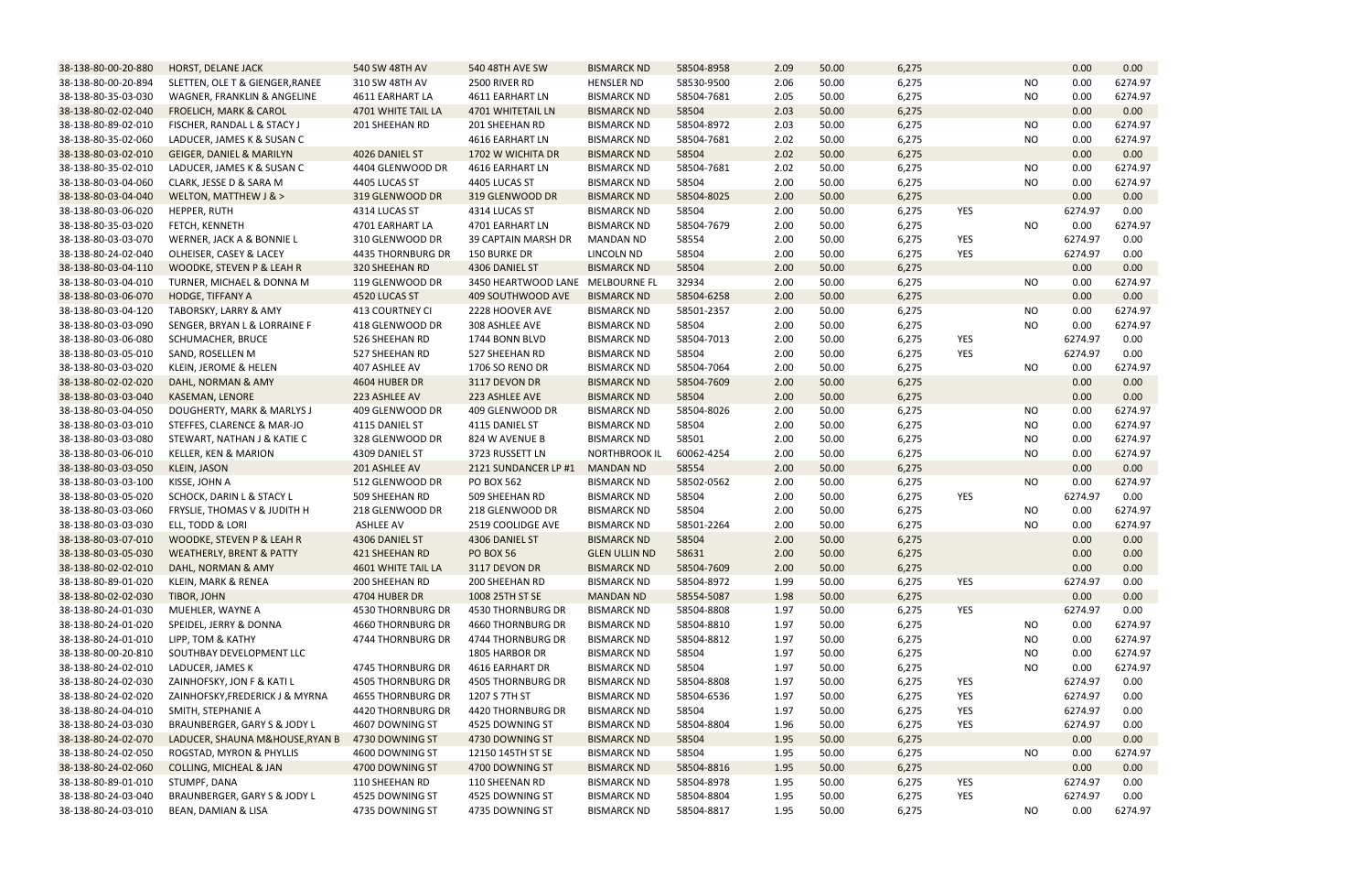| 38-138-80-00-20-880                        | HORST, DELANE JACK                                            | 540 SW 48TH AV                     | 540 48TH AVE SW                      | <b>BISMARCK ND</b>                       | 58504-8958          | 2.09         | 50.00          | 6,275          |            |           | 0.00         | 0.00    |
|--------------------------------------------|---------------------------------------------------------------|------------------------------------|--------------------------------------|------------------------------------------|---------------------|--------------|----------------|----------------|------------|-----------|--------------|---------|
| 38-138-80-00-20-894                        | SLETTEN, OLE T & GIENGER, RANEE                               | 310 SW 48TH AV                     | 2500 RIVER RD                        | <b>HENSLER ND</b>                        | 58530-9500          | 2.06         | 50.00          | 6,275          |            | <b>NO</b> | 0.00         | 6274.97 |
| 38-138-80-35-03-030                        | WAGNER, FRANKLIN & ANGELINE                                   | 4611 EARHART LA                    | 4611 EARHART LN                      | <b>BISMARCK ND</b>                       | 58504-7681          | 2.05         | 50.00          | 6,275          |            | NO.       | 0.00         | 6274.97 |
| 38-138-80-02-02-040                        | <b>FROELICH, MARK &amp; CAROL</b>                             | 4701 WHITE TAIL LA                 | 4701 WHITETAIL LN                    | <b>BISMARCK ND</b>                       | 58504               | 2.03         | 50.00          | 6,275          |            |           | 0.00         | 0.00    |
| 38-138-80-89-02-010                        | FISCHER, RANDAL L & STACY J                                   | 201 SHEEHAN RD                     | 201 SHEEHAN RD                       | <b>BISMARCK ND</b>                       | 58504-8972          | 2.03         | 50.00          | 6,275          |            | <b>NO</b> | 0.00         | 6274.97 |
| 38-138-80-35-02-060                        | LADUCER, JAMES K & SUSAN C                                    |                                    | 4616 EARHART LN                      | <b>BISMARCK ND</b>                       | 58504-7681          | 2.02         | 50.00          | 6,275          |            | <b>NO</b> | 0.00         | 6274.97 |
| 38-138-80-03-02-010                        | GEIGER, DANIEL & MARILYN                                      | 4026 DANIEL ST                     | 1702 W WICHITA DR                    | <b>BISMARCK ND</b>                       | 58504               | 2.02         | 50.00          | 6,275          |            |           | 0.00         | 0.00    |
| 38-138-80-35-02-010                        | LADUCER, JAMES K & SUSAN C                                    | 4404 GLENWOOD DR                   | 4616 EARHART LN                      | <b>BISMARCK ND</b>                       | 58504-7681          | 2.02         | 50.00          | 6,275          |            | <b>NO</b> | 0.00         | 6274.97 |
| 38-138-80-03-04-060                        | CLARK, JESSE D & SARA M                                       | 4405 LUCAS ST                      | 4405 LUCAS ST                        | <b>BISMARCK ND</b>                       | 58504               | 2.00         | 50.00          | 6,275          |            | <b>NO</b> | 0.00         | 6274.97 |
| 38-138-80-03-04-040                        | WELTON, MATTHEW J & >                                         | 319 GLENWOOD DR                    | 319 GLENWOOD DR                      | <b>BISMARCK ND</b>                       | 58504-8025          | 2.00         | 50.00          | 6,275          |            |           | 0.00         | 0.00    |
| 38-138-80-03-06-020                        | HEPPER, RUTH                                                  | 4314 LUCAS ST                      | 4314 LUCAS ST                        | <b>BISMARCK ND</b>                       | 58504               | 2.00         | 50.00          | 6,275          | <b>YES</b> |           | 6274.97      | 0.00    |
| 38-138-80-35-03-020                        | FETCH, KENNETH                                                | 4701 EARHART LA                    | 4701 EARHART LN                      | <b>BISMARCK ND</b>                       | 58504-7679          | 2.00         | 50.00          | 6,275          |            | <b>NO</b> | 0.00         | 6274.97 |
| 38-138-80-03-03-070                        | WERNER, JACK A & BONNIE L                                     | 310 GLENWOOD DR                    | <b>39 CAPTAIN MARSH DR</b>           | <b>MANDAN ND</b>                         | 58554               | 2.00         | 50.00          | 6,275          | <b>YES</b> |           | 6274.97      | 0.00    |
| 38-138-80-24-02-040                        | OLHEISER, CASEY & LACEY                                       | 4435 THORNBURG DR                  | <b>150 BURKE DR</b>                  | LINCOLN ND                               | 58504               | 2.00         | 50.00          | 6,275          | <b>YES</b> |           | 6274.97      | 0.00    |
| 38-138-80-03-04-110                        | WOODKE, STEVEN P & LEAH R                                     | 320 SHEEHAN RD                     | 4306 DANIEL ST                       | <b>BISMARCK ND</b>                       | 58504               | 2.00         | 50.00          | 6,275          |            |           | 0.00         | 0.00    |
| 38-138-80-03-04-010                        | TURNER, MICHAEL & DONNA M                                     | 119 GLENWOOD DR                    | 3450 HEARTWOOD LANE MELBOURNE FL     |                                          | 32934               | 2.00         | 50.00          | 6,275          |            | <b>NO</b> | 0.00         | 6274.97 |
| 38-138-80-03-06-070                        | HODGE, TIFFANY A                                              | 4520 LUCAS ST                      | 409 SOUTHWOOD AVE                    | <b>BISMARCK ND</b>                       | 58504-6258          | 2.00         | 50.00          | 6,275          |            |           | 0.00         | 0.00    |
| 38-138-80-03-04-120                        | TABORSKY, LARRY & AMY                                         | 413 COURTNEY CI                    | 2228 HOOVER AVE                      | <b>BISMARCK ND</b>                       | 58501-2357          | 2.00         | 50.00          | 6,275          |            | NO        | 0.00         | 6274.97 |
| 38-138-80-03-03-090                        | SENGER, BRYAN L & LORRAINE F                                  | 418 GLENWOOD DR                    | 308 ASHLEE AVE                       | <b>BISMARCK ND</b>                       | 58504               | 2.00         | 50.00          | 6,275          |            | NO.       | 0.00         | 6274.97 |
| 38-138-80-03-06-080                        | SCHUMACHER, BRUCE                                             | 526 SHEEHAN RD                     | 1744 BONN BLVD                       | <b>BISMARCK ND</b>                       | 58504-7013          | 2.00         | 50.00          | 6,275          | <b>YES</b> |           | 6274.97      | 0.00    |
| 38-138-80-03-05-010                        | SAND, ROSELLEN M                                              | 527 SHEEHAN RD                     | 527 SHEEHAN RD                       | <b>BISMARCK ND</b>                       | 58504               | 2.00         | 50.00          | 6,275          | YES        |           | 6274.97      | 0.00    |
| 38-138-80-03-03-020                        | KLEIN, JEROME & HELEN                                         | 407 ASHLEE AV                      | 1706 SO RENO DR                      | <b>BISMARCK ND</b>                       | 58504-7064          | 2.00         | 50.00          | 6,275          |            | <b>NO</b> | 0.00         | 6274.97 |
| 38-138-80-02-02-020                        | DAHL, NORMAN & AMY                                            | 4604 HUBER DR                      | 3117 DEVON DR                        | <b>BISMARCK ND</b>                       | 58504-7609          | 2.00         | 50.00          | 6,275          |            |           | 0.00         | 0.00    |
| 38-138-80-03-03-040                        | KASEMAN, LENORE                                               | 223 ASHLEE AV                      | 223 ASHLEE AVE                       | <b>BISMARCK ND</b>                       | 58504               | 2.00         | 50.00          | 6,275          |            |           | 0.00         | 0.00    |
| 38-138-80-03-04-050                        | DOUGHERTY, MARK & MARLYS J                                    | 409 GLENWOOD DR                    | 409 GLENWOOD DR                      | <b>BISMARCK ND</b>                       | 58504-8026          | 2.00         | 50.00          | 6,275          |            | NO        | 0.00         | 6274.97 |
| 38-138-80-03-03-010                        | STEFFES, CLARENCE & MAR-JO                                    | 4115 DANIEL ST                     | 4115 DANIEL ST                       | <b>BISMARCK ND</b>                       | 58504               | 2.00         | 50.00          | 6,275          |            | NO        | 0.00         | 6274.97 |
| 38-138-80-03-03-080                        | STEWART, NATHAN J & KATIE C                                   | 328 GLENWOOD DR                    | 824 W AVENUE B                       | <b>BISMARCK ND</b>                       | 58501               | 2.00         | 50.00          | 6,275          |            | <b>NO</b> | 0.00         | 6274.97 |
| 38-138-80-03-06-010                        | KELLER, KEN & MARION                                          | 4309 DANIEL ST                     | 3723 RUSSETT LN                      | <b>NORTHBROOK IL</b>                     | 60062-4254          | 2.00         | 50.00          | 6,275          |            | <b>NO</b> | 0.00         | 6274.97 |
| 38-138-80-03-03-050                        | <b>KLEIN, JASON</b>                                           | 201 ASHLEE AV                      | 2121 SUNDANCER LP #1                 | <b>MANDAN ND</b>                         | 58554               | 2.00         | 50.00          | 6,275          |            |           | 0.00         | 0.00    |
| 38-138-80-03-03-100                        | KISSE, JOHN A                                                 | 512 GLENWOOD DR                    | PO BOX 562                           | <b>BISMARCK ND</b>                       | 58502-0562          | 2.00         | 50.00          | 6,275          |            | <b>NO</b> | 0.00         | 6274.97 |
| 38-138-80-03-05-020                        | SCHOCK, DARIN L & STACY L                                     | 509 SHEEHAN RD                     | 509 SHEEHAN RD                       | <b>BISMARCK ND</b>                       | 58504               | 2.00         | 50.00          | 6,275          | <b>YES</b> |           | 6274.97      | 0.00    |
| 38-138-80-03-03-060                        | FRYSLIE, THOMAS V & JUDITH H                                  | 218 GLENWOOD DR                    | 218 GLENWOOD DR                      | <b>BISMARCK ND</b>                       | 58504               | 2.00         | 50.00          | 6,275          |            | <b>NO</b> | 0.00         | 6274.97 |
| 38-138-80-03-03-030                        | ELL, TODD & LORI                                              | <b>ASHLEE AV</b>                   | 2519 COOLIDGE AVE                    | <b>BISMARCK ND</b>                       | 58501-2264          | 2.00         | 50.00          | 6,275          |            | <b>NO</b> | 0.00         | 6274.97 |
| 38-138-80-03-07-010                        | WOODKE, STEVEN P & LEAH R                                     | 4306 DANIEL ST                     | 4306 DANIEL ST                       | <b>BISMARCK ND</b>                       | 58504               | 2.00         | 50.00          | 6,275          |            |           | 0.00         | 0.00    |
| 38-138-80-03-05-030                        | <b>WEATHERLY, BRENT &amp; PATTY</b>                           | 421 SHEEHAN RD                     | <b>PO BOX 56</b>                     | <b>GLEN ULLIN ND</b>                     | 58631               | 2.00         | 50.00          | 6,275          |            |           | 0.00         | 0.00    |
| 38-138-80-02-02-010                        | DAHL, NORMAN & AMY                                            | 4601 WHITE TAIL LA                 | 3117 DEVON DR                        | <b>BISMARCK ND</b>                       | 58504-7609          | 2.00         | 50.00          | 6,275          |            |           | 0.00         | 0.00    |
| 38-138-80-89-01-020                        | KLEIN, MARK & RENEA                                           | 200 SHEEHAN RD                     | 200 SHEEHAN RD                       | <b>BISMARCK ND</b>                       | 58504-8972          | 1.99         | 50.00          | 6,275          | YES        |           | 6274.97      | 0.00    |
| 38-138-80-02-02-030                        | TIBOR, JOHN                                                   | 4704 HUBER DR                      | 1008 25TH ST SE                      | <b>MANDAN ND</b>                         | 58554-5087          | 1.98         | 50.00          | 6,275          |            |           | 0.00         | 0.00    |
| 38-138-80-24-01-030                        | MUEHLER, WAYNE A                                              | 4530 THORNBURG DR                  | <b>4530 THORNBURG DR</b>             | <b>BISMARCK ND</b>                       | 58504-8808          | 1.97         | 50.00          | 6,275          | YES        |           | 6274.97      | 0.00    |
| 38-138-80-24-01-020                        | SPEIDEL, JERRY & DONNA                                        | 4660 THORNBURG DR                  | <b>4660 THORNBURG DR</b>             | <b>BISMARCK ND</b>                       | 58504-8810          | 1.97         | 50.00          | 6,275          |            | NO.       | 0.00         | 6274.97 |
| 38-138-80-24-01-010                        | LIPP, TOM & KATHY                                             | 4744 THORNBURG DR                  | 4744 THORNBURG DR                    | <b>BISMARCK ND</b>                       | 58504-8812          | 1.97         | 50.00          | 6,275          |            | NO        | 0.00         | 6274.97 |
| 38-138-80-00-20-810                        | SOUTHBAY DEVELOPMENT LLC                                      |                                    | 1805 HARBOR DR                       | <b>BISMARCK ND</b>                       | 58504               | 1.97         | 50.00          | 6,275          |            | NO        | 0.00         | 6274.97 |
| 38-138-80-24-02-010                        | LADUCER, JAMES K                                              | 4745 THORNBURG DR                  | 4616 EARHART DR                      | <b>BISMARCK ND</b>                       | 58504               | 1.97         | 50.00          | 6,275          |            | NO.       | 0.00         | 6274.97 |
| 38-138-80-24-02-030                        | ZAINHOFSKY, JON F & KATI L                                    | 4505 THORNBURG DR                  | <b>4505 THORNBURG DR</b>             | <b>BISMARCK ND</b>                       | 58504-8808          | 1.97         | 50.00          | 6,275          | <b>YES</b> |           | 6274.97      | 0.00    |
| 38-138-80-24-02-020                        | ZAINHOFSKY, FREDERICK J & MYRNA                               | <b>4655 THORNBURG DR</b>           | 1207 S 7TH ST                        | <b>BISMARCK ND</b>                       | 58504-6536          | 1.97         | 50.00          |                | YES        |           | 6274.97      | 0.00    |
| 38-138-80-24-04-010                        | SMITH, STEPHANIE A                                            | 4420 THORNBURG DR                  | 4420 THORNBURG DR                    | <b>BISMARCK ND</b>                       | 58504               | 1.97         | 50.00          | 6,275          | YES        |           | 6274.97      | 0.00    |
| 38-138-80-24-03-030                        | BRAUNBERGER, GARY S & JODY L                                  | 4607 DOWNING ST                    | 4525 DOWNING ST                      | <b>BISMARCK ND</b>                       | 58504-8804          | 1.96         | 50.00          | 6,275<br>6,275 | YES        |           | 6274.97      | 0.00    |
| 38-138-80-24-02-070                        | LADUCER, SHAUNA M&HOUSE, RYAN B                               | 4730 DOWNING ST                    | 4730 DOWNING ST                      | <b>BISMARCK ND</b>                       | 58504               | 1.95         | 50.00          | 6,275          |            |           | 0.00         | 0.00    |
|                                            |                                                               |                                    |                                      |                                          |                     |              |                |                |            |           |              | 6274.97 |
| 38-138-80-24-02-050<br>38-138-80-24-02-060 | ROGSTAD, MYRON & PHYLLIS<br><b>COLLING, MICHEAL &amp; JAN</b> | 4600 DOWNING ST<br>4700 DOWNING ST | 12150 145TH ST SE<br>4700 DOWNING ST | <b>BISMARCK ND</b><br><b>BISMARCK ND</b> | 58504<br>58504-8816 | 1.95<br>1.95 | 50.00<br>50.00 | 6,275<br>6,275 |            | NO        | 0.00<br>0.00 | 0.00    |
| 38-138-80-89-01-010                        | STUMPF, DANA                                                  | 110 SHEEHAN RD                     | 110 SHEENAN RD                       | <b>BISMARCK ND</b>                       | 58504-8978          | 1.95         | 50.00          | 6,275          | YES        |           | 6274.97      | 0.00    |
| 38-138-80-24-03-040                        | BRAUNBERGER, GARY S & JODY L                                  | 4525 DOWNING ST                    | 4525 DOWNING ST                      | <b>BISMARCK ND</b>                       | 58504-8804          | 1.95         | 50.00          | 6,275          | YES        |           | 6274.97      | 0.00    |
|                                            |                                                               |                                    |                                      |                                          |                     | 1.95         |                |                |            |           | 0.00         |         |
| 38-138-80-24-03-010                        | BEAN, DAMIAN & LISA                                           | 4735 DOWNING ST                    | 4735 DOWNING ST                      | <b>BISMARCK ND</b>                       | 58504-8817          |              | 50.00          | 6,275          |            | <b>NO</b> |              | 6274.97 |

|           | 0.00    | 0.00              |  |  |  |  |
|-----------|---------|-------------------|--|--|--|--|
| NΟ        | 0.00    | 6274.97           |  |  |  |  |
| NΟ        | 0.00    | 6274.97           |  |  |  |  |
|           | 0.00    | 0.00              |  |  |  |  |
| <b>NO</b> | 0.00    | 6274.97           |  |  |  |  |
| NΟ        | 0.00    | 6274.97           |  |  |  |  |
|           | 0.00    | 0.00              |  |  |  |  |
| ΝO        | 0.00    | 6274.97           |  |  |  |  |
| NΟ        | 0.00    | 6274.97           |  |  |  |  |
|           | 0.00    | 0.00              |  |  |  |  |
|           | 6274.97 | 0.00              |  |  |  |  |
| NΟ        | 0.00    | 6274.97           |  |  |  |  |
|           |         |                   |  |  |  |  |
|           | 6274.97 | 0.00              |  |  |  |  |
|           | 6274.97 | 0.00              |  |  |  |  |
|           | 0.00    | 0.00              |  |  |  |  |
| NΟ        | 0.00    | 6274.97           |  |  |  |  |
|           | 0.00    | 0.00              |  |  |  |  |
| NΟ        | 0.00    | 6274.97           |  |  |  |  |
| NΟ        | 0.00    | 6274.97           |  |  |  |  |
|           | 6274.97 | 0.00              |  |  |  |  |
|           | 6274.97 | 0.00              |  |  |  |  |
| NΟ        | 0.00    | 6274.97           |  |  |  |  |
|           | 0.00    | 0.00 <sub>1</sub> |  |  |  |  |
|           | 0.00    | 0.00              |  |  |  |  |
| NΟ        | 0.00    | 6274.97           |  |  |  |  |
| NO        | 0.00    | 6274.97           |  |  |  |  |
| NΟ        | 0.00    | 6274.97           |  |  |  |  |
| NΟ        | 0.00    | 6274.97           |  |  |  |  |
|           | 0.00    | 0.00              |  |  |  |  |
| ΝO        | 0.00    | 6274.97           |  |  |  |  |
|           | 6274.97 | 0.00              |  |  |  |  |
| NΟ        | 0.00    | 6274.97           |  |  |  |  |
| NΟ        | 0.00    | 6274.97           |  |  |  |  |
|           | 0.00    | 0.00              |  |  |  |  |
|           | 0.00    | 0.00              |  |  |  |  |
|           | 0.00    | 0.00              |  |  |  |  |
|           | 6274.97 | 0.00              |  |  |  |  |
|           |         |                   |  |  |  |  |
|           | 0.00    | 0.00              |  |  |  |  |
|           | 6274.97 | 0.00              |  |  |  |  |
| NΟ        | 0.00    | 6274.97           |  |  |  |  |
| <b>NO</b> | 0.00    | 6274.97           |  |  |  |  |
| NO        | 0.00    | 6274.97           |  |  |  |  |
| ΝO        | 0.00    | 6274.97           |  |  |  |  |
|           | 6274.97 | 0.00              |  |  |  |  |
|           | 6274.97 | 0.00              |  |  |  |  |
|           | 6274.97 | 0.00              |  |  |  |  |
|           | 6274.97 | 0.00              |  |  |  |  |
|           | 0.00    | 0.00              |  |  |  |  |
| NΟ        | 0.00    | 6274.97           |  |  |  |  |
|           | 0.00    | 0.00              |  |  |  |  |
|           | 6274.97 | 0.00              |  |  |  |  |
|           | 6274.97 | 0.00              |  |  |  |  |
| NΟ        | 0.00    | 6274.97           |  |  |  |  |
|           |         |                   |  |  |  |  |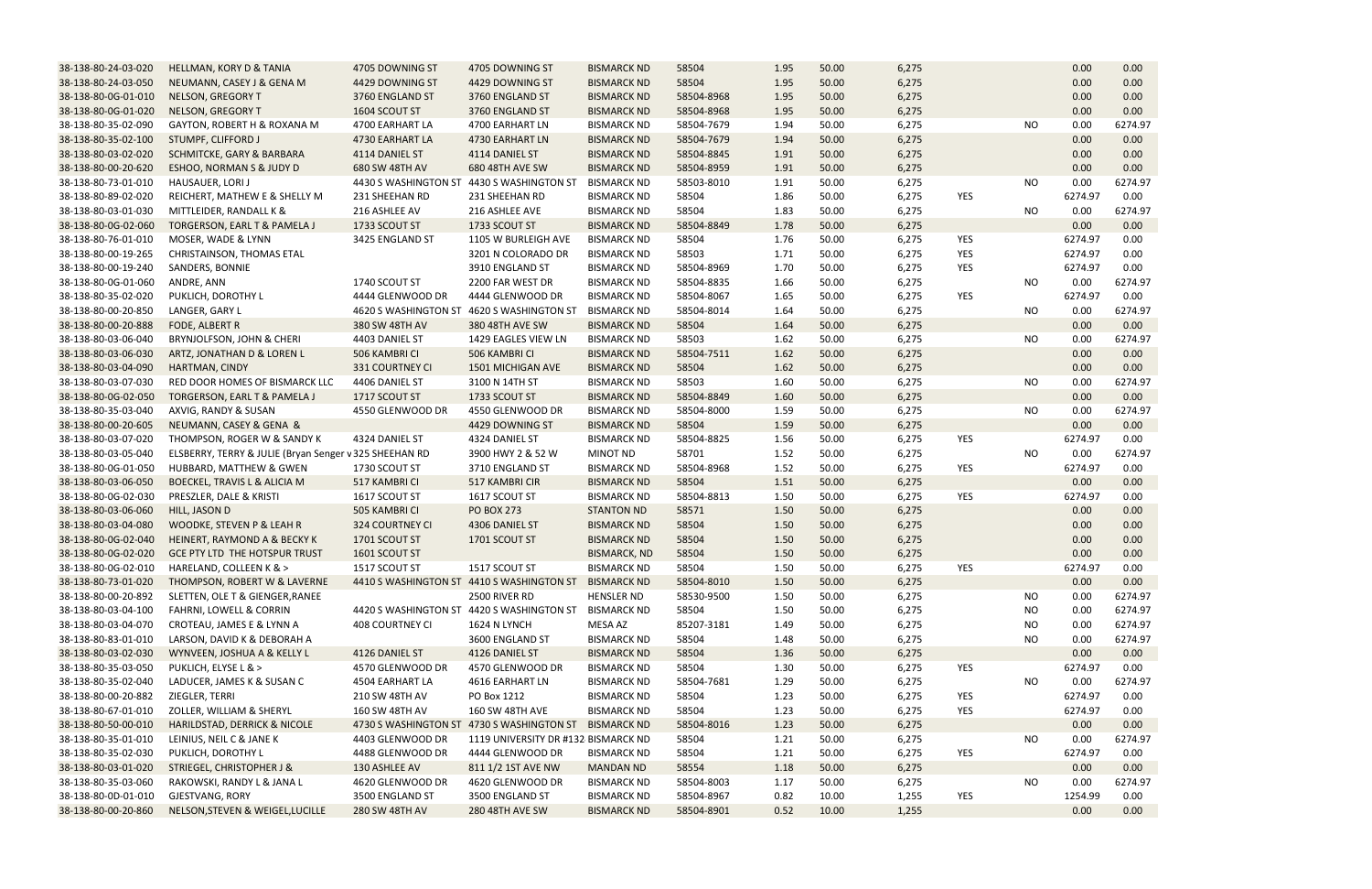| 38-138-80-24-03-020 | HELLMAN, KORY D & TANIA                                | 4705 DOWNING ST  | 4705 DOWNING ST                                       | <b>BISMARCK ND</b>  | 58504      | 1.95 | 50.00 | 6,275 |            |           | 0.00    | 0.00            |
|---------------------|--------------------------------------------------------|------------------|-------------------------------------------------------|---------------------|------------|------|-------|-------|------------|-----------|---------|-----------------|
| 38-138-80-24-03-050 | NEUMANN, CASEY J & GENA M                              | 4429 DOWNING ST  | 4429 DOWNING ST                                       | <b>BISMARCK ND</b>  | 58504      | 1.95 | 50.00 | 6,275 |            |           | 0.00    | 0.00            |
| 38-138-80-0G-01-010 | <b>NELSON, GREGORY T</b>                               | 3760 ENGLAND ST  | 3760 ENGLAND ST                                       | <b>BISMARCK ND</b>  | 58504-8968 | 1.95 | 50.00 | 6,275 |            |           | 0.00    | 0.00            |
| 38-138-80-0G-01-020 | NELSON, GREGORY T                                      | 1604 SCOUT ST    | 3760 ENGLAND ST                                       | <b>BISMARCK ND</b>  | 58504-8968 | 1.95 | 50.00 | 6,275 |            |           | 0.00    | 0.00            |
| 38-138-80-35-02-090 | GAYTON, ROBERT H & ROXANA M                            | 4700 EARHART LA  | 4700 EARHART LN                                       | <b>BISMARCK ND</b>  | 58504-7679 | 1.94 | 50.00 | 6,275 |            | <b>NO</b> | 0.00    | 6274.97         |
| 38-138-80-35-02-100 | STUMPF, CLIFFORD J                                     | 4730 EARHART LA  | 4730 EARHART LN                                       | <b>BISMARCK ND</b>  | 58504-7679 | 1.94 | 50.00 | 6,275 |            |           | 0.00    | 0.00            |
| 38-138-80-03-02-020 | <b>SCHMITCKE, GARY &amp; BARBARA</b>                   | 4114 DANIEL ST   | 4114 DANIEL ST                                        | <b>BISMARCK ND</b>  | 58504-8845 | 1.91 | 50.00 | 6,275 |            |           | 0.00    | 0.00            |
| 38-138-80-00-20-620 | ESHOO, NORMAN S & JUDY D                               | 680 SW 48TH AV   | <b>680 48TH AVE SW</b>                                | <b>BISMARCK ND</b>  | 58504-8959 | 1.91 | 50.00 | 6,275 |            |           | 0.00    | 0.00            |
| 38-138-80-73-01-010 | HAUSAUER, LORI J                                       |                  | 4430 S WASHINGTON ST 4430 S WASHINGTON ST             | <b>BISMARCK ND</b>  | 58503-8010 | 1.91 | 50.00 | 6,275 |            | <b>NO</b> | 0.00    | 6274.97         |
| 38-138-80-89-02-020 | REICHERT, MATHEW E & SHELLY M                          | 231 SHEEHAN RD   | 231 SHEEHAN RD                                        | <b>BISMARCK ND</b>  | 58504      | 1.86 | 50.00 | 6,275 | <b>YES</b> |           | 6274.97 | 0.00            |
| 38-138-80-03-01-030 | MITTLEIDER, RANDALL K &                                | 216 ASHLEE AV    | 216 ASHLEE AVE                                        | <b>BISMARCK ND</b>  | 58504      | 1.83 | 50.00 | 6,275 |            | <b>NO</b> | 0.00    | 6274.97         |
| 38-138-80-0G-02-060 | TORGERSON, EARL T & PAMELA J                           | 1733 SCOUT ST    | 1733 SCOUT ST                                         | <b>BISMARCK ND</b>  | 58504-8849 | 1.78 | 50.00 | 6,275 |            |           | 0.00    | 0.00            |
| 38-138-80-76-01-010 | MOSER, WADE & LYNN                                     | 3425 ENGLAND ST  | 1105 W BURLEIGH AVE                                   | <b>BISMARCK ND</b>  | 58504      | 1.76 | 50.00 | 6,275 | YES        |           | 6274.97 | 0.00            |
| 38-138-80-00-19-265 | CHRISTAINSON, THOMAS ETAL                              |                  | 3201 N COLORADO DR                                    | <b>BISMARCK ND</b>  | 58503      | 1.71 | 50.00 | 6,275 | <b>YES</b> |           | 6274.97 | 0.00            |
| 38-138-80-00-19-240 | SANDERS, BONNIE                                        |                  | 3910 ENGLAND ST                                       | <b>BISMARCK ND</b>  | 58504-8969 | 1.70 | 50.00 | 6,275 | YES        |           | 6274.97 | 0.00            |
| 38-138-80-0G-01-060 | ANDRE, ANN                                             | 1740 SCOUT ST    | 2200 FAR WEST DR                                      | <b>BISMARCK ND</b>  | 58504-8835 | 1.66 | 50.00 | 6,275 |            | <b>NO</b> | 0.00    | 6274.97         |
| 38-138-80-35-02-020 | PUKLICH, DOROTHY L                                     | 4444 GLENWOOD DR | 4444 GLENWOOD DR                                      | <b>BISMARCK ND</b>  | 58504-8067 | 1.65 | 50.00 | 6,275 | <b>YES</b> |           | 6274.97 | 0.00            |
| 38-138-80-00-20-850 | LANGER, GARY L                                         |                  | 4620 S WASHINGTON ST 4620 S WASHINGTON ST             | <b>BISMARCK ND</b>  | 58504-8014 | 1.64 | 50.00 | 6,275 |            | <b>NO</b> | 0.00    | 6274.97         |
| 38-138-80-00-20-888 | FODE, ALBERT R                                         | 380 SW 48TH AV   | 380 48TH AVE SW                                       | <b>BISMARCK ND</b>  | 58504      | 1.64 | 50.00 | 6,275 |            |           | 0.00    | 0.00            |
| 38-138-80-03-06-040 | BRYNJOLFSON, JOHN & CHERI                              | 4403 DANIEL ST   | 1429 EAGLES VIEW LN                                   | <b>BISMARCK ND</b>  | 58503      | 1.62 | 50.00 | 6,275 |            | <b>NO</b> | 0.00    | 6274.97         |
| 38-138-80-03-06-030 | ARTZ, JONATHAN D & LOREN L                             | 506 KAMBRI CI    | 506 KAMBRI CI                                         | <b>BISMARCK ND</b>  | 58504-7511 | 1.62 | 50.00 | 6,275 |            |           | 0.00    | 0.00            |
| 38-138-80-03-04-090 | HARTMAN, CINDY                                         | 331 COURTNEY CI  | 1501 MICHIGAN AVE                                     | <b>BISMARCK ND</b>  | 58504      | 1.62 | 50.00 | 6,275 |            |           | 0.00    | 0.00            |
| 38-138-80-03-07-030 | RED DOOR HOMES OF BISMARCK LLC                         | 4406 DANIEL ST   | 3100 N 14TH ST                                        | <b>BISMARCK ND</b>  | 58503      | 1.60 | 50.00 | 6,275 |            | <b>NO</b> | 0.00    | 6274.97         |
| 38-138-80-0G-02-050 | TORGERSON, EARL T & PAMELA J                           | 1717 SCOUT ST    | 1733 SCOUT ST                                         | <b>BISMARCK ND</b>  | 58504-8849 | 1.60 | 50.00 | 6,275 |            |           | 0.00    | 0.00            |
| 38-138-80-35-03-040 | AXVIG, RANDY & SUSAN                                   | 4550 GLENWOOD DR | 4550 GLENWOOD DR                                      | <b>BISMARCK ND</b>  | 58504-8000 | 1.59 | 50.00 | 6,275 |            | <b>NO</b> | 0.00    | 6274.97         |
| 38-138-80-00-20-605 | NEUMANN, CASEY & GENA &                                |                  | 4429 DOWNING ST                                       | <b>BISMARCK ND</b>  | 58504      | 1.59 | 50.00 | 6,275 |            |           | 0.00    | 0.00            |
| 38-138-80-03-07-020 | THOMPSON, ROGER W & SANDY K                            | 4324 DANIEL ST   | 4324 DANIEL ST                                        | <b>BISMARCK ND</b>  | 58504-8825 | 1.56 | 50.00 | 6,275 | YES        |           | 6274.97 | 0.00            |
| 38-138-80-03-05-040 | ELSBERRY, TERRY & JULIE (Bryan Senger v 325 SHEEHAN RD |                  | 3900 HWY 2 & 52 W                                     | <b>MINOT ND</b>     | 58701      | 1.52 | 50.00 | 6,275 |            | <b>NO</b> | 0.00    | 6274.97         |
| 38-138-80-0G-01-050 | HUBBARD, MATTHEW & GWEN                                | 1730 SCOUT ST    | 3710 ENGLAND ST                                       | <b>BISMARCK ND</b>  | 58504-8968 | 1.52 | 50.00 | 6,275 | YES        |           | 6274.97 | 0.00            |
| 38-138-80-03-06-050 | BOECKEL, TRAVIS L & ALICIA M                           | 517 KAMBRI CI    | 517 KAMBRI CIR                                        | <b>BISMARCK ND</b>  | 58504      | 1.51 | 50.00 | 6,275 |            |           | 0.00    | 0.00            |
| 38-138-80-0G-02-030 | PRESZLER, DALE & KRISTI                                | 1617 SCOUT ST    | 1617 SCOUT ST                                         | <b>BISMARCK ND</b>  | 58504-8813 | 1.50 | 50.00 | 6,275 | <b>YES</b> |           | 6274.97 | 0.00            |
| 38-138-80-03-06-060 | HILL, JASON D                                          | 505 KAMBRI CI    | <b>PO BOX 273</b>                                     | <b>STANTON ND</b>   | 58571      | 1.50 | 50.00 | 6,275 |            |           | 0.00    | 0.00            |
| 38-138-80-03-04-080 | WOODKE, STEVEN P & LEAH R                              | 324 COURTNEY CI  | 4306 DANIEL ST                                        | <b>BISMARCK ND</b>  | 58504      | 1.50 | 50.00 | 6,275 |            |           | 0.00    | 0.00            |
| 38-138-80-0G-02-040 | HEINERT, RAYMOND A & BECKY K                           | 1701 SCOUT ST    | 1701 SCOUT ST                                         | <b>BISMARCK ND</b>  | 58504      | 1.50 | 50.00 | 6,275 |            |           | 0.00    | 0.00            |
| 38-138-80-0G-02-020 | GCE PTY LTD THE HOTSPUR TRUST                          | 1601 SCOUT ST    |                                                       | <b>BISMARCK, ND</b> | 58504      | 1.50 | 50.00 | 6,275 |            |           | 0.00    | 0.00            |
| 38-138-80-0G-02-010 | HARELAND, COLLEEN K & >                                | 1517 SCOUT ST    | 1517 SCOUT ST                                         | <b>BISMARCK ND</b>  | 58504      | 1.50 | 50.00 | 6,275 | YES        |           | 6274.97 | 0.00            |
| 38-138-80-73-01-020 | THOMPSON, ROBERT W & LAVERNE                           |                  | 4410 S WASHINGTON ST 4410 S WASHINGTON ST             | <b>BISMARCK ND</b>  | 58504-8010 | 1.50 | 50.00 | 6,275 |            |           | 0.00    | 0.00            |
| 38-138-80-00-20-892 | SLETTEN, OLE T & GIENGER, RANEE                        |                  | 2500 RIVER RD                                         | <b>HENSLER ND</b>   | 58530-9500 | 1.50 | 50.00 | 6,275 |            | <b>NO</b> | 0.00    | 6274.97         |
| 38-138-80-03-04-100 | FAHRNI, LOWELL & CORRIN                                |                  | 4420 S WASHINGTON ST 4420 S WASHINGTON ST BISMARCK ND |                     | 58504      | 1.50 | 50.00 | 6,275 |            | <b>NO</b> | 0.00    | 6274.97         |
| 38-138-80-03-04-070 | CROTEAU, JAMES E & LYNN A                              | 408 COURTNEY CI  | 1624 N LYNCH                                          | MESA AZ             | 85207-3181 | 1.49 | 50.00 | 6,275 |            | NO        | 0.00    | 6274.97         |
| 38-138-80-83-01-010 | LARSON, DAVID K & DEBORAH A                            |                  | 3600 ENGLAND ST                                       | <b>BISMARCK ND</b>  | 58504      | 1.48 | 50.00 | 6,275 |            | <b>NO</b> | 0.00    | 6274.97         |
| 38-138-80-03-02-030 | WYNVEEN, JOSHUA A & KELLY L                            | 4126 DANIEL ST   | 4126 DANIEL ST                                        | <b>BISMARCK ND</b>  | 58504      | 1.36 | 50.00 | 6,275 |            |           | 0.00    | 0.00            |
| 38-138-80-35-03-050 | PUKLICH, ELYSE L & >                                   | 4570 GLENWOOD DR | 4570 GLENWOOD DR                                      | <b>BISMARCK ND</b>  | 58504      | 1.30 | 50.00 | 6,275 | YES        |           | 6274.97 | 0.00            |
| 38-138-80-35-02-040 | LADUCER, JAMES K & SUSAN C                             | 4504 EARHART LA  | 4616 EARHART LN                                       | <b>BISMARCK ND</b>  | 58504-7681 | 1.29 | 50.00 | 6,275 |            | <b>NO</b> | 0.00    | 6274.97         |
|                     |                                                        |                  | PO Box 1212                                           |                     |            |      |       |       |            |           | 6274.97 |                 |
| 38-138-80-00-20-882 | ZIEGLER, TERRI                                         | 210 SW 48TH AV   |                                                       | <b>BISMARCK ND</b>  | 58504      | 1.23 | 50.00 | 6,275 | YES        |           |         | 0.00            |
| 38-138-80-67-01-010 | ZOLLER, WILLIAM & SHERYL                               | 160 SW 48TH AV   | 160 SW 48TH AVE                                       | <b>BISMARCK ND</b>  | 58504      | 1.23 | 50.00 | 6,275 | YES        |           | 6274.97 | 0.00            |
| 38-138-80-50-00-010 | HARILDSTAD, DERRICK & NICOLE                           |                  | 4730 S WASHINGTON ST 4730 S WASHINGTON ST BISMARCK ND |                     | 58504-8016 | 1.23 | 50.00 | 6,275 |            |           | 0.00    | 0.00<br>6274.97 |
| 38-138-80-35-01-010 | LEINIUS, NEIL C & JANE K                               | 4403 GLENWOOD DR | 1119 UNIVERSITY DR #132 BISMARCK ND                   |                     | 58504      | 1.21 | 50.00 | 6,275 |            | <b>NO</b> | 0.00    |                 |
| 38-138-80-35-02-030 | PUKLICH, DOROTHY L                                     | 4488 GLENWOOD DR | 4444 GLENWOOD DR                                      | <b>BISMARCK ND</b>  | 58504      | 1.21 | 50.00 | 6,275 | YES        |           | 6274.97 | 0.00            |
| 38-138-80-03-01-020 | <b>STRIEGEL, CHRISTOPHER J &amp;</b>                   | 130 ASHLEE AV    | 811 1/2 1ST AVE NW                                    | <b>MANDAN ND</b>    | 58554      | 1.18 | 50.00 | 6,275 |            |           | 0.00    | 0.00            |
| 38-138-80-35-03-060 | RAKOWSKI, RANDY L & JANA L                             | 4620 GLENWOOD DR | 4620 GLENWOOD DR                                      | <b>BISMARCK ND</b>  | 58504-8003 | 1.17 | 50.00 | 6,275 |            | <b>NO</b> | 0.00    | 6274.97         |
| 38-138-80-0D-01-010 | GJESTVANG, RORY                                        | 3500 ENGLAND ST  | 3500 ENGLAND ST                                       | <b>BISMARCK ND</b>  | 58504-8967 | 0.82 | 10.00 | 1,255 | YES        |           | 1254.99 | 0.00            |
| 38-138-80-00-20-860 | NELSON, STEVEN & WEIGEL, LUCILLE                       | 280 SW 48TH AV   | 280 48TH AVE SW                                       | <b>BISMARCK ND</b>  | 58504-8901 | 0.52 | 10.00 | 1,255 |            |           | 0.00    | 0.00            |

|     | 0.00            | 0.00         |
|-----|-----------------|--------------|
|     | 0.00            | 0.00         |
|     | 0.00            | 0.00         |
|     | 0.00            | 0.00         |
| NΟ  | 0.00            | 6274.97      |
|     | 0.00            | 0.00         |
|     | 0.00            | 0.00         |
|     | 0.00            | 0.00         |
| NΟ  | 0.00            | 6274.97      |
|     | 6274.97         | 0.00         |
| NΟ  | 0.00            | 6274.97      |
|     | 0.00            | 0.00         |
|     | 6274.97         | 0.00         |
|     | 6274.97         | 0.00         |
|     | 6274.97         | 0.00         |
| NΟ  | 0.00            | 6274.97      |
|     | 6274.97         | 0.00         |
| NΟ  |                 | 6274.97      |
|     | 0.00            |              |
|     | 0.00            | 0.00         |
| NΟ  | 0.00            | 6274.97      |
|     | 0.00            | 0.00         |
|     | 0.00            | 0.00         |
| NO  | 0.00            | 6274.97      |
|     | 0.00            | 0.00         |
| NΟ  | 0.00            | 6274.97      |
|     | 0.00            | 0.00         |
|     | 6274.97         | 0.00         |
| NΟ  | 0.00            | 6274.97      |
|     | 6274.97         | 0.00         |
|     | 0.00            | 0.00         |
|     | 6274.97         | 0.00         |
|     | 0.00            | 0.00         |
|     | 0.00            | 0.00         |
|     | 0.00            | 0.00         |
|     | 0.00            | 0.00         |
|     | 6274.97         | 0.00         |
|     | 0.00            | 0.00         |
| ΝO  | 0.00            | 6274.97      |
| NO. | 0.00            | 6274.97      |
| NO  | 0.00            | 6274.97      |
| NΟ  | 0.00            | 6274.97      |
|     | 0.00            | 0.00         |
|     | 6274.97         | 0.00         |
| NO  | 0.00            | 6274.97      |
|     | 6274.97         | 0.00         |
|     | 6274.97         | 0.00         |
|     | 0.00            | 0.00         |
| NΟ  | 0.00            | 6274.97      |
|     | 6274.97         | 0.00         |
|     |                 |              |
|     | 0.00            | 0.00         |
| NΟ  | 0.00            | 6274.97      |
|     |                 |              |
|     | 1254.99<br>0.00 | 0.00<br>0.00 |